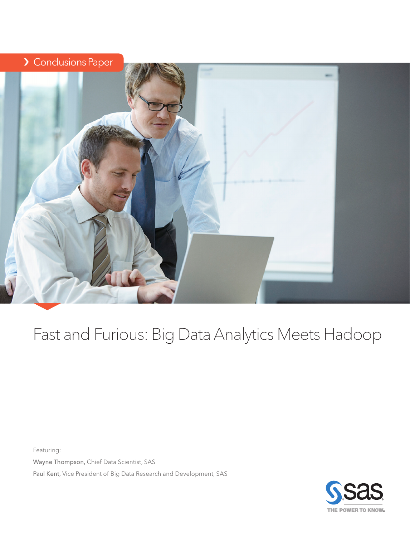### > Conclusions Paper



## Fast and Furious: Big Data Analytics Meets Hadoop

Featuring: Wayne Thompson, Chief Data Scientist, SAS

Paul Kent, Vice President of Big Data Research and Development, SAS

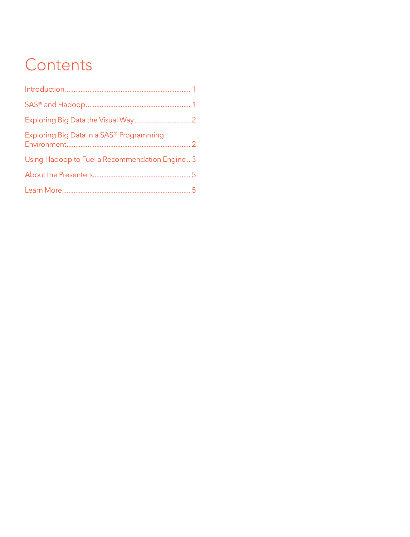# **Contents**

| Exploring Big Data in a SAS <sup>®</sup> Programming |  |
|------------------------------------------------------|--|
| Using Hadoop to Fuel a Recommendation Engine  3      |  |
|                                                      |  |
|                                                      |  |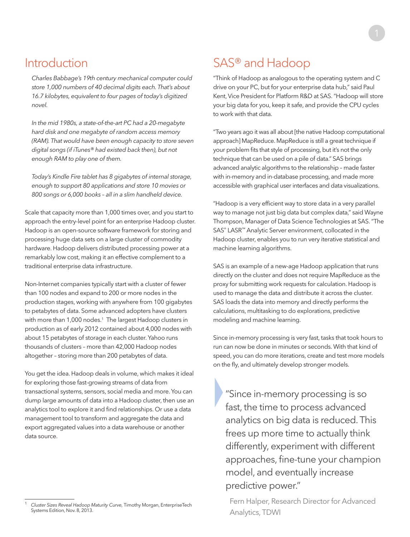#### <span id="page-2-0"></span>Introduction

*Charles Babbage's 19th century mechanical computer could store 1,000 numbers of 40 decimal digits each. That's about 16.7 kilobytes, equivalent to four pages of today's digitized novel.*

*In the mid 1980s, a state-of-the-art PC had a 20-megabyte hard disk and one megabyte of random access memory (RAM). That would have been enough capacity to store seven digital songs (if iTunes® had existed back then), but not enough RAM to play one of them.*

*Today's Kindle Fire tablet has 8 gigabytes of internal storage, enough to support 80 applications and store 10 movies or 800 songs or 6,000 books – all in a slim handheld device.*

Scale that capacity more than 1,000 times over, and you start to approach the entry-level point for an enterprise Hadoop cluster. Hadoop is an open-source software framework for storing and processing huge data sets on a large cluster of commodity hardware. Hadoop delivers distributed processing power at a remarkably low cost, making it an effective complement to a traditional enterprise data infrastructure.

Non-Internet companies typically start with a cluster of fewer than 100 nodes and expand to 200 or more nodes in the production stages, working with anywhere from 100 gigabytes to petabytes of data. Some advanced adopters have clusters with more than 1,000 nodes.<sup>1</sup> The largest Hadoop clusters in production as of early 2012 contained about 4,000 nodes with about 15 petabytes of storage in each cluster. Yahoo runs thousands of clusters – more than 42,000 Hadoop nodes altogether – storing more than 200 petabytes of data.

You get the idea. Hadoop deals in volume, which makes it ideal for exploring those fast-growing streams of data from transactional systems, sensors, social media and more. You can dump large amounts of data into a Hadoop cluster, then use an analytics tool to explore it and find relationships. Or use a data management tool to transform and aggregate the data and export aggregated values into a data warehouse or another data source.

### SAS® and Hadoop

"Think of Hadoop as analogous to the operating system and C drive on your PC, but for your enterprise data hub," said Paul Kent, Vice President for Platform R&D at SAS. "Hadoop will store your big data for you, keep it safe, and provide the CPU cycles to work with that data.

"Two years ago it was all about [the native Hadoop computational approach] MapReduce. MapReduce is still a great technique if your problem fits that style of processing, but it's not the only technique that can be used on a pile of data." SAS brings advanced analytic algorithms to the relationship – made faster with in-memory and in-database processing, and made more accessible with graphical user interfaces and data visualizations.

"Hadoop is a very efficient way to store data in a very parallel way to manage not just big data but complex data," said Wayne Thompson, Manager of Data Science Technologies at SAS. "The SAS® LASR™ Analytic Server environment, collocated in the Hadoop cluster, enables you to run very iterative statistical and machine learning algorithms.

SAS is an example of a new-age Hadoop application that runs directly on the cluster and does not require MapReduce as the proxy for submitting work requests for calculation. Hadoop is used to manage the data and distribute it across the cluster. SAS loads the data into memory and directly performs the calculations, multitasking to do explorations, predictive modeling and machine learning.

Since in-memory processing is very fast, tasks that took hours to run can now be done in minutes or seconds. With that kind of speed, you can do more iterations, create and test more models on the fly, and ultimately develop stronger models.

}"Since in-memory processing is so fast, the time to process advanced analytics on big data is reduced. This frees up more time to actually think differently, experiment with different approaches, fine-tune your champion model, and eventually increase predictive power."

Fern Halper, Research Director for Advanced Analytics, TDWI

<sup>1</sup> *Cluster Sizes Reveal Hadoop Maturity Curve,* Timothy Morgan, EnterpriseTech Systems Edition, Nov. 8, 2013.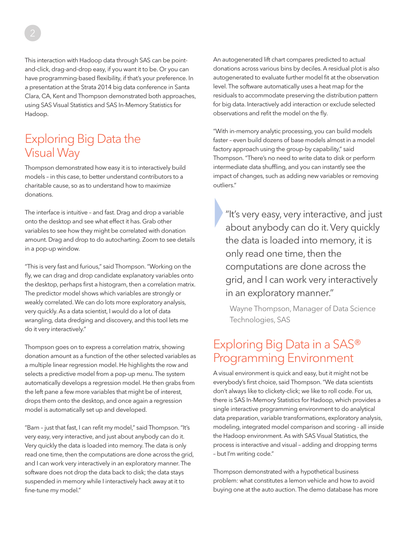<span id="page-3-0"></span>This interaction with Hadoop data through SAS can be pointand-click, drag-and-drop easy, if you want it to be. Or you can have programming-based flexibility, if that's your preference. In a presentation at the Strata 2014 big data conference in Santa Clara, CA, Kent and Thompson demonstrated both approaches, using SAS Visual Statistics and SAS In-Memory Statistics for Hadoop.

#### Exploring Big Data the Visual Way

Thompson demonstrated how easy it is to interactively build models – in this case, to better understand contributors to a charitable cause, so as to understand how to maximize donations.

The interface is intuitive – and fast. Drag and drop a variable onto the desktop and see what effect it has. Grab other variables to see how they might be correlated with donation amount. Drag and drop to do autocharting. Zoom to see details in a pop-up window.

"This is very fast and furious," said Thompson. "Working on the fly, we can drag and drop candidate explanatory variables onto the desktop, perhaps first a histogram, then a correlation matrix. The predictor model shows which variables are strongly or weakly correlated. We can do lots more exploratory analysis, very quickly. As a data scientist, I would do a lot of data wrangling, data dredging and discovery, and this tool lets me do it very interactively."

Thompson goes on to express a correlation matrix, showing donation amount as a function of the other selected variables as a multiple linear regression model. He highlights the row and selects a predictive model from a pop-up menu. The system automatically develops a regression model. He then grabs from the left pane a few more variables that might be of interest, drops them onto the desktop, and once again a regression model is automatically set up and developed.

"Bam – just that fast, I can refit my model," said Thompson. "It's very easy, very interactive, and just about anybody can do it. Very quickly the data is loaded into memory. The data is only read one time, then the computations are done across the grid, and I can work very interactively in an exploratory manner. The software does not drop the data back to disk; the data stays suspended in memory while I interactively hack away at it to fine-tune my model."

An autogenerated lift chart compares predicted to actual donations across various bins by deciles. A residual plot is also autogenerated to evaluate further model fit at the observation level. The software automatically uses a heat map for the residuals to accommodate preserving the distribution pattern for big data. Interactively add interaction or exclude selected observations and refit the model on the fly.

"With in-memory analytic processing, you can build models faster – even build dozens of base models almost in a model factory approach using the group-by capability," said Thompson. "There's no need to write data to disk or perform intermediate data shuffling, and you can instantly see the impact of changes, such as adding new variables or removing outliers."

}"It's very easy, very interactive, and just about anybody can do it. Very quickly the data is loaded into memory, it is only read one time, then the computations are done across the grid, and I can work very interactively in an exploratory manner."

Wayne Thompson, Manager of Data Science Technologies, SAS

#### Exploring Big Data in a SAS® Programming Environment

A visual environment is quick and easy, but it might not be everybody's first choice, said Thompson. "We data scientists don't always like to clickety-click; we like to roll code. For us, there is SAS In-Memory Statistics for Hadoop, which provides a single interactive programming environment to do analytical data preparation, variable transformations, exploratory analysis, modeling, integrated model comparison and scoring - all inside the Hadoop environment. As with SAS Visual Statistics, the process is interactive and visual – adding and dropping terms – but I'm writing code."

Thompson demonstrated with a hypothetical business problem: what constitutes a lemon vehicle and how to avoid buying one at the auto auction. The demo database has more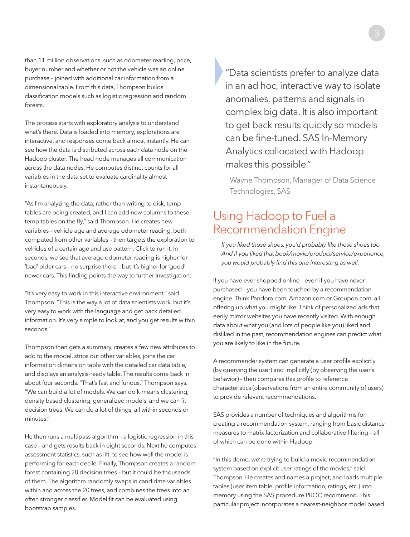<span id="page-4-0"></span>than 11 million observations, such as odometer reading, price, buyer number and whether or not the vehicle was an online purchase – joined with additional car information from a dimensional table. From this data, Thompson builds classification models such as logistic regression and random forests.

The process starts with exploratory analysis to understand what's there. Data is loaded into memory, explorations are interactive, and responses come back almost instantly. He can see how the data is distributed across each data node on the Hadoop cluster. The head node manages all communication across the data nodes. He computes distinct counts for all variables in the data set to evaluate cardinality almost instantaneously.

"As I'm analyzing the data, rather than writing to disk, temp tables are being created, and I can add new columns to these temp tables on the fly," said Thompson. He creates new variables – vehicle age and average odometer reading, both computed from other variables – then targets the exploration to vehicles of a certain age and use pattern. Click to run it. In seconds, we see that average odometer reading is higher for 'bad' older cars – no surprise there – but it's higher for 'good' newer cars. This finding points the way to further investigation.

"It's very easy to work in this interactive environment," said Thompson. "This is the way a lot of data scientists work, but it's very easy to work with the language and get back detailed information. It's very simple to look at, and you get results within seconds."

Thompson then gets a summary, creates a few new attributes to add to the model, strips out other variables, joins the car information dimension table with the detailed car data table, and displays an analysis-ready table. The results come back in about four seconds. "That's fast and furious," Thompson says. "We can build a lot of models. We can do k-means clustering, density based clustering, generalized models, and we can fit decision trees. We can do a lot of things, all within seconds or minutes."

He then runs a multipass algorithm – a logistic regression in this case – and gets results back in eight seconds. Next he computes assessment statistics, such as lift, to see how well the model is performing for each decile. Finally, Thompson creates a random forest containing 20 decision trees – but it could be thousands of them. The algorithm randomly swaps in candidate variables within and across the 20 trees, and combines the trees into an often stronger classifier. Model fit can be evaluated using bootstrap samples.

}"Data scientists prefer to analyze data in an ad hoc, interactive way to isolate anomalies, patterns and signals in complex big data. It is also important to get back results quickly so models can be fine-tuned. SAS In-Memory Analytics collocated with Hadoop makes this possible."

Wayne Thompson, Manager of Data Science Technologies, SAS

#### Using Hadoop to Fuel a Recommendation Engine

*If you liked those shoes, you'd probably like these shoes too. And if you liked that book/movie/product/service/experience, you would probably find this one interesting as well.*

If you have ever shopped online – even if you have never purchased – you have been touched by a recommendation engine. Think Pandora.com, Amazon.com or Groupon.com, all offering up what you might like. Think of personalized ads that eerily mirror websites you have recently visited. With enough data about what you (and lots of people like you) liked and disliked in the past, recommendation engines can predict what you are likely to like in the future.

A recommender system can generate a user profile explicitly (by querying the user) and implicitly (by observing the user's behavior) – then compares this profile to reference characteristics (observations from an entire community of users) to provide relevant recommendations.

SAS provides a number of techniques and algorithms for creating a recommendation system, ranging from basic distance measures to matrix factorization and collaborative filtering – all of which can be done within Hadoop.

"In this demo, we're trying to build a movie recommendation system based on explicit user ratings of the movies," said Thompson. He creates and names a project, and loads multiple tables (user item table, profile information, ratings, etc.) into memory using the SAS procedure PROC recommend. This particular project incorporates a nearest-neighbor model based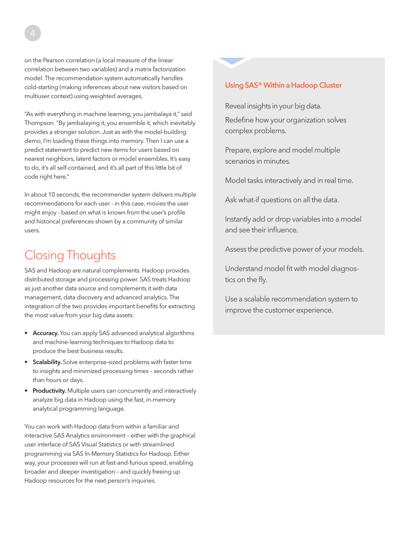on the Pearson correlation (a local measure of the linear correlation between two variables) and a matrix factorization model. The recommendation system automatically handles cold-starting (making inferences about new visitors based on multiuser context) using weighted averages.

"As with everything in machine learning, you jambalaya it," said Thompson. "By jambalaying it, you ensemble it, which inevitably provides a stronger solution. Just as with the model-building demo, I'm loading these things into memory. Then I can use a predict statement to predict new items for users based on nearest neighbors, latent factors or model ensembles. It's easy to do, it's all self-contained, and it's all part of this little bit of code right here."

In about 10 seconds, the recommender system delivers multiple recommendations for each user - in this case, movies the user might enjoy - based on what is known from the user's profile and historical preferences shown by a community of similar users.

## Closing Thoughts

SAS and Hadoop are natural complements. Hadoop provides distributed storage and processing power. SAS treats Hadoop as just another data source and complements it with data management, data discovery and advanced analytics. The integration of the two provides important benefits for extracting the most value from your big data assets:

- Accuracy. You can apply SAS advanced analytical algorithms and machine-learning techniques to Hadoop data to produce the best business results.
- Scalability. Solve enterprise-sized problems with faster time to insights and minimized processing times – seconds rather than hours or days.
- Productivity. Multiple users can concurrently and interactively analyze big data in Hadoop using the fast, in-memory analytical programming language.

You can work with Hadoop data from within a familiar and interactive SAS Analytics environment – either with the graphical user interface of SAS Visual Statistics or with streamlined programming via SAS In-Memory Statistics for Hadoop. Either way, your processes will run at fast-and-furious speed, enabling broader and deeper investigation – and quickly freeing up Hadoop resources for the next person's inquiries.

#### Using SAS® Within a Hadoop Cluster

Reveal insights in your big data.

Redefine how your organization solves complex problems.

Prepare, explore and model multiple scenarios in minutes.

Model tasks interactively and in real time.

Ask what-if questions on all the data.

Instantly add or drop variables into a model and see their influence.

Assess the predictive power of your models.

Understand model fit with model diagnostics on the fly.

Use a scalable recommendation system to improve the customer experience.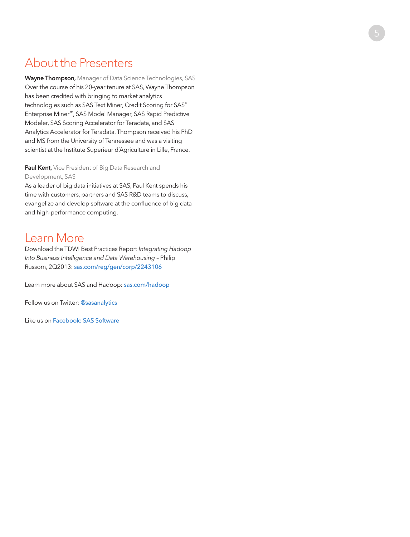#### <span id="page-6-0"></span>About the Presenters

Wayne Thompson, Manager of Data Science Technologies, SAS Over the course of his 20-year tenure at SAS, Wayne Thompson has been credited with bringing to market analytics technologies such as SAS Text Miner, Credit Scoring for SAS ® Enterprise Miner ™, SAS Model Manager, SAS Rapid Predictive Modeler, SAS Scoring Accelerator for Teradata, and SAS Analytics Accelerator for Teradata. Thompson received his PhD and MS from the University of Tennessee and was a visiting scientist at the Institute Superieur d'Agriculture in Lille, France.

#### Paul Kent, Vice President of Big Data Research and Development, SAS

As a leader of big data initiatives at SAS, Paul Kent spends his time with customers, partners and SAS R&D teams to discuss, evangelize and develop software at the confluence of big data and high-performance computing.

#### Learn More

Download the TDWI Best Practices Report *Integrating Hadoop Into Business Intelligence and Data Warehousing* – Philip Russom, 2Q2013: [sas.com/reg/gen/corp/2243106](http://http://www.sas.com/reg/gen/corp/2243106)

Learn more about SAS and Hadoop: [sas.com/hadoop](http://www.sas.com/en_us/software/sas-hadoop.html)

Follow us on Twitter: [@sasanalytics](https://twitter.com/SASanalytics)

Like us on [Facebook: SAS Software](https://www.facebook.com/SASsoftware)